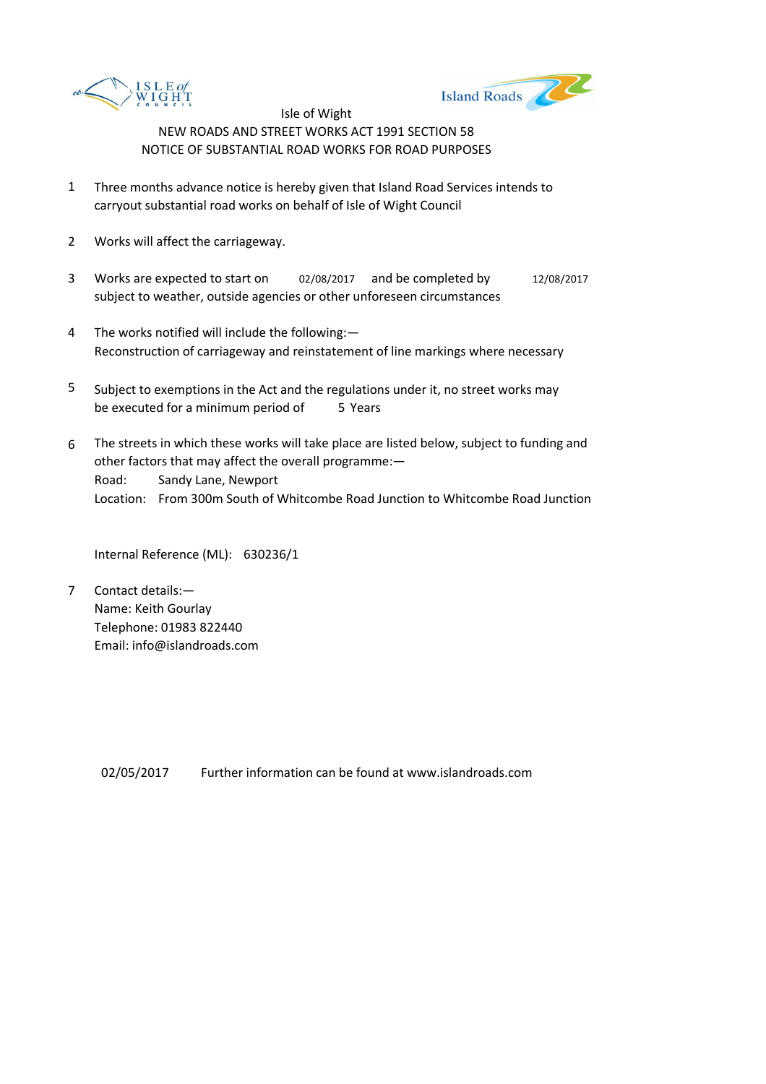



- 1 Three months advance notice is hereby given that Island Road Services intends to carryout substantial road works on behalf of Isle of Wight Council
- 2 Works will affect the carriageway.
- 3 Works are expected to start on 02/08/2017 and be completed by 12/08/2017 subject to weather, outside agencies or other unforeseen circumstances
- 4 The works notified will include the following:— Reconstruction of carriageway and reinstatement of line markings where necessary
- 5 be executed for a minimum period of 5 Years Subject to exemptions in the Act and the regulations under it, no street works may
- 6 Road: Sandy Lane, Newport Location: From 300m South of Whitcombe Road Junction to Whitcombe Road Junction The streets in which these works will take place are listed below, subject to funding and other factors that may affect the overall programme:—

Internal Reference (ML): 630236/1

7 Contact details:— Name: Keith Gourlay Telephone: 01983 822440 Email: info@islandroads.com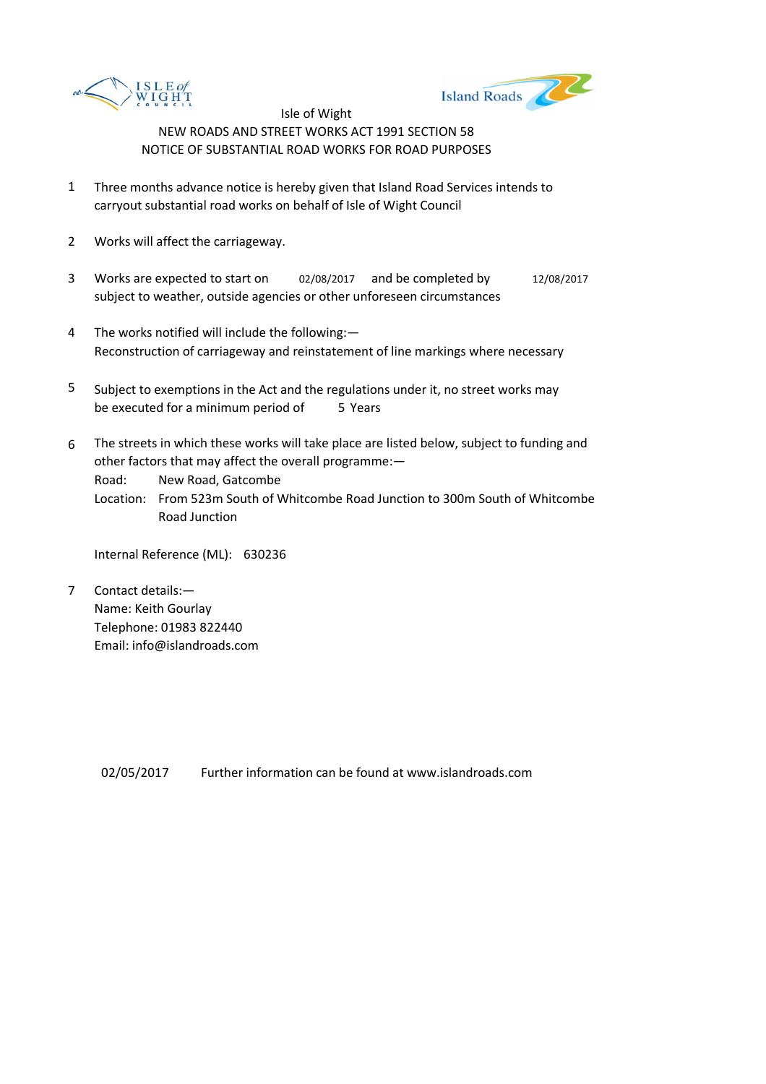



- 1 Three months advance notice is hereby given that Island Road Services intends to carryout substantial road works on behalf of Isle of Wight Council
- 2 Works will affect the carriageway.
- 3 Works are expected to start on 02/08/2017 and be completed by 12/08/2017 subject to weather, outside agencies or other unforeseen circumstances
- 4 The works notified will include the following:— Reconstruction of carriageway and reinstatement of line markings where necessary
- 5 be executed for a minimum period of 5 Years Subject to exemptions in the Act and the regulations under it, no street works may
- 6 The streets in which these works will take place are listed below, subject to funding and other factors that may affect the overall programme:—

Road: New Road, Gatcombe

Location: From 523m South of Whitcombe Road Junction to 300m South of Whitcombe Road Junction

Internal Reference (ML): 630236

7 Contact details:— Name: Keith Gourlay Telephone: 01983 822440 Email: info@islandroads.com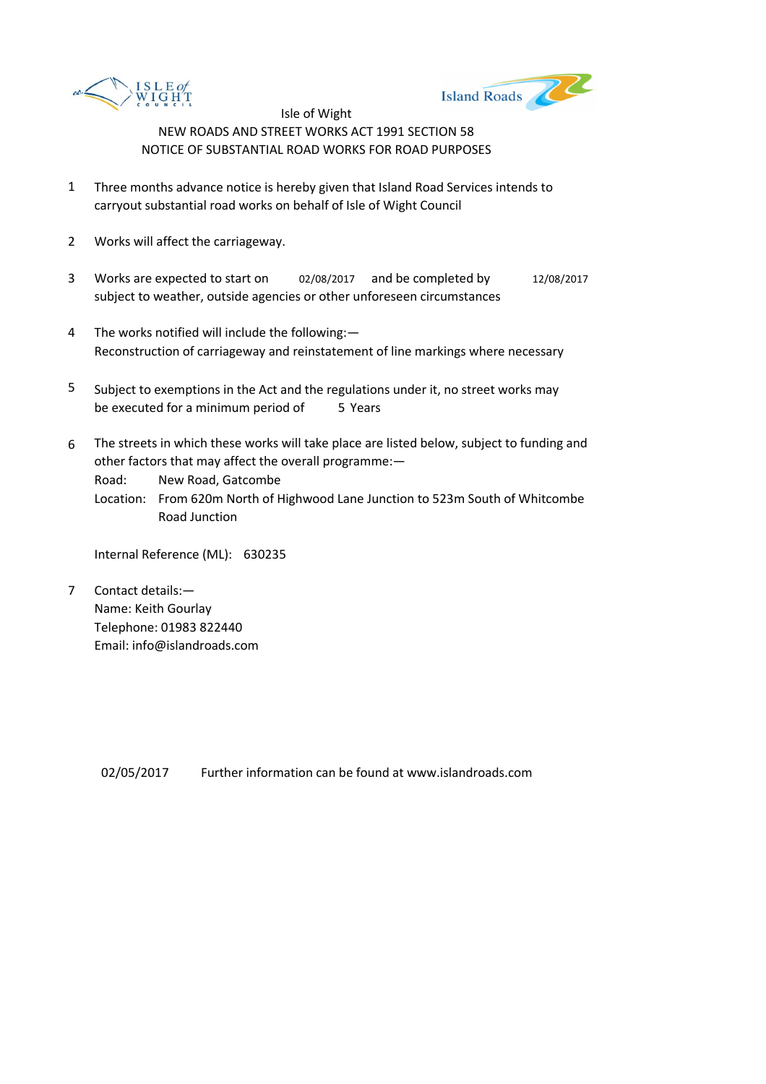



- 1 Three months advance notice is hereby given that Island Road Services intends to carryout substantial road works on behalf of Isle of Wight Council
- 2 Works will affect the carriageway.
- 3 Works are expected to start on 02/08/2017 and be completed by 12/08/2017 subject to weather, outside agencies or other unforeseen circumstances
- 4 The works notified will include the following:— Reconstruction of carriageway and reinstatement of line markings where necessary
- 5 be executed for a minimum period of 5 Years Subject to exemptions in the Act and the regulations under it, no street works may
- 6 The streets in which these works will take place are listed below, subject to funding and other factors that may affect the overall programme:—

Road: New Road, Gatcombe

Location: From 620m North of Highwood Lane Junction to 523m South of Whitcombe Road Junction

Internal Reference (ML): 630235

7 Contact details:— Name: Keith Gourlay Telephone: 01983 822440 Email: info@islandroads.com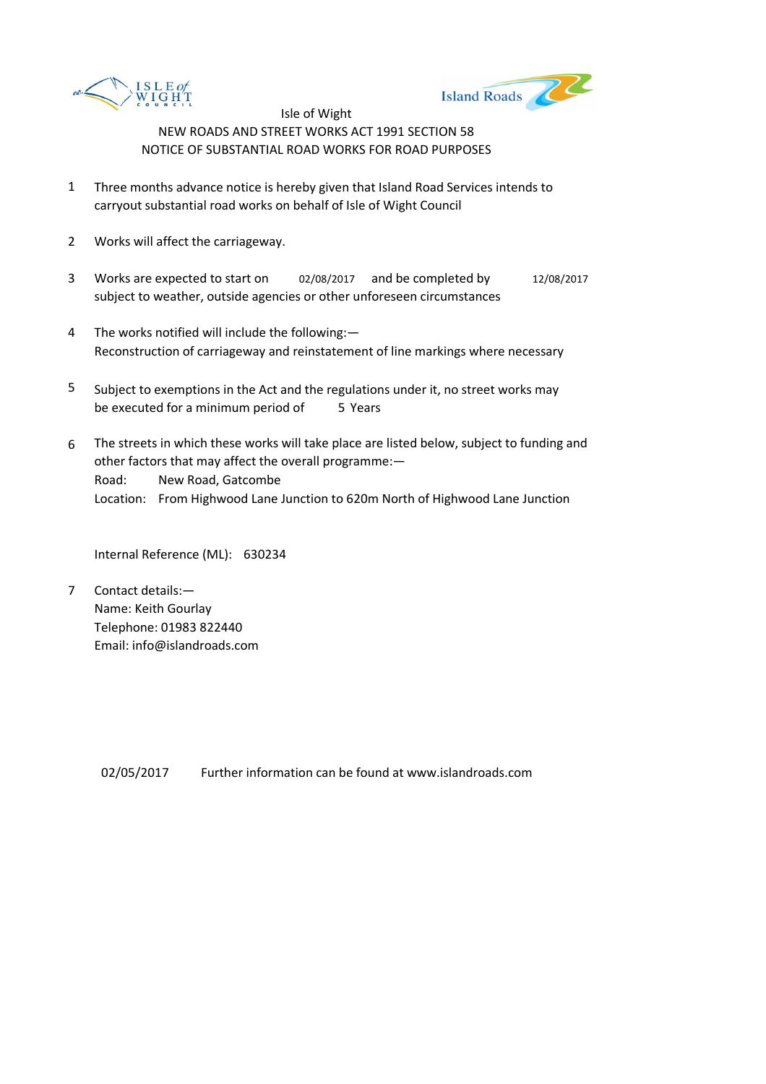



- 1 Three months advance notice is hereby given that Island Road Services intends to carryout substantial road works on behalf of Isle of Wight Council
- 2 Works will affect the carriageway.
- 3 Works are expected to start on 02/08/2017 and be completed by 12/08/2017 subject to weather, outside agencies or other unforeseen circumstances
- 4 The works notified will include the following:— Reconstruction of carriageway and reinstatement of line markings where necessary
- 5 be executed for a minimum period of 5 Years Subject to exemptions in the Act and the regulations under it, no street works may
- 6 Road: New Road, Gatcombe Location: From Highwood Lane Junction to 620m North of Highwood Lane Junction The streets in which these works will take place are listed below, subject to funding and other factors that may affect the overall programme:—

Internal Reference (ML): 630234

7 Contact details:— Name: Keith Gourlay Telephone: 01983 822440 Email: info@islandroads.com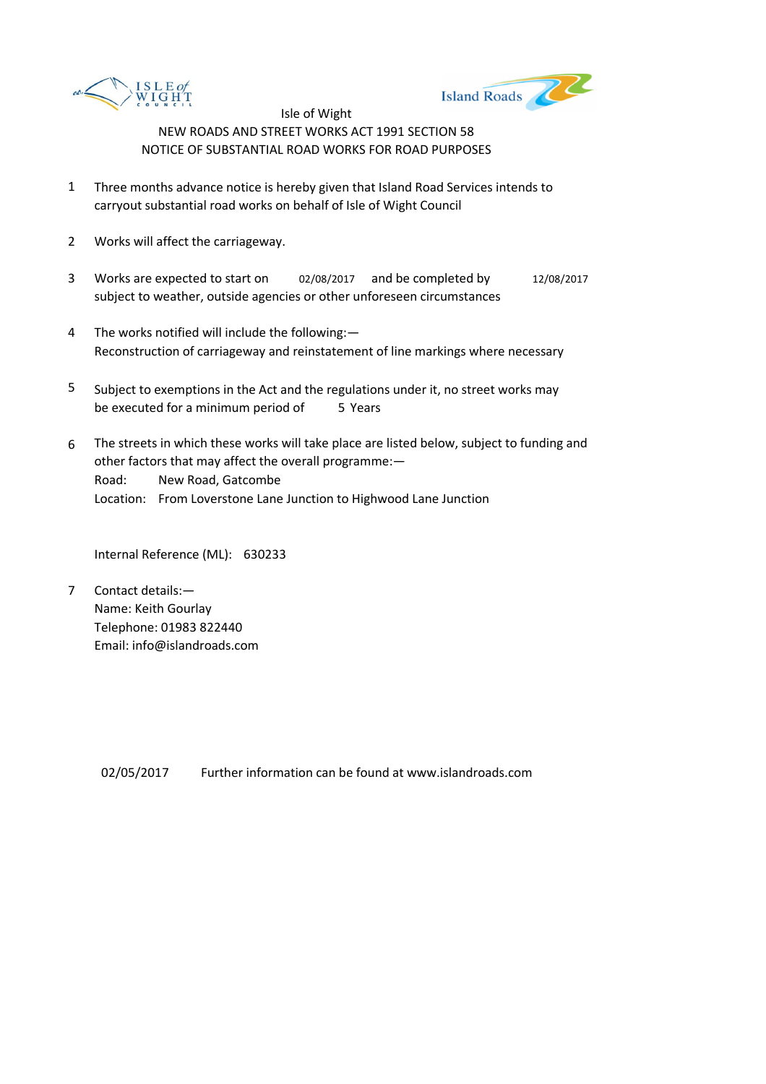



- 1 Three months advance notice is hereby given that Island Road Services intends to carryout substantial road works on behalf of Isle of Wight Council
- 2 Works will affect the carriageway.
- 3 Works are expected to start on 02/08/2017 and be completed by 12/08/2017 subject to weather, outside agencies or other unforeseen circumstances
- 4 The works notified will include the following:— Reconstruction of carriageway and reinstatement of line markings where necessary
- 5 be executed for a minimum period of 5 Years Subject to exemptions in the Act and the regulations under it, no street works may
- 6 Road: New Road, Gatcombe Location: From Loverstone Lane Junction to Highwood Lane Junction The streets in which these works will take place are listed below, subject to funding and other factors that may affect the overall programme:—

Internal Reference (ML): 630233

7 Contact details:— Name: Keith Gourlay Telephone: 01983 822440 Email: info@islandroads.com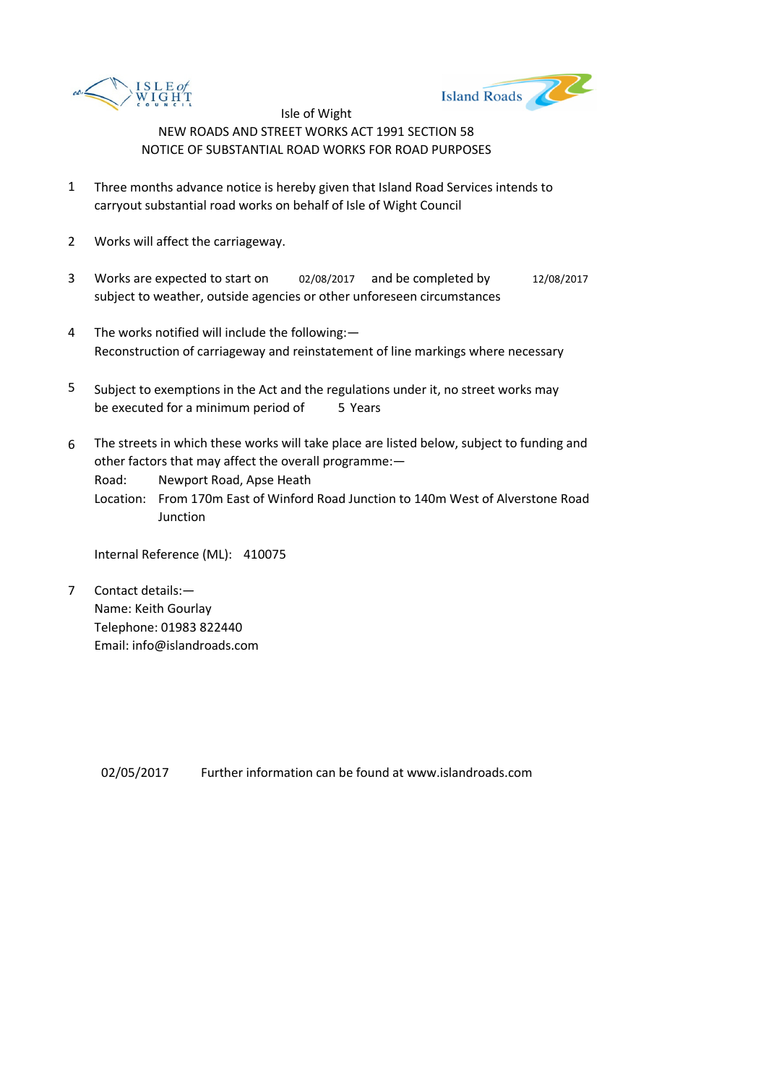



- 1 Three months advance notice is hereby given that Island Road Services intends to carryout substantial road works on behalf of Isle of Wight Council
- 2 Works will affect the carriageway.
- 3 Works are expected to start on 02/08/2017 and be completed by 12/08/2017 subject to weather, outside agencies or other unforeseen circumstances
- 4 The works notified will include the following:— Reconstruction of carriageway and reinstatement of line markings where necessary
- 5 be executed for a minimum period of 5 Years Subject to exemptions in the Act and the regulations under it, no street works may
- 6 The streets in which these works will take place are listed below, subject to funding and other factors that may affect the overall programme:—

Road: Newport Road, Apse Heath

Location: From 170m East of Winford Road Junction to 140m West of Alverstone Road **Junction** 

Internal Reference (ML): 410075

7 Contact details:— Name: Keith Gourlay Telephone: 01983 822440 Email: info@islandroads.com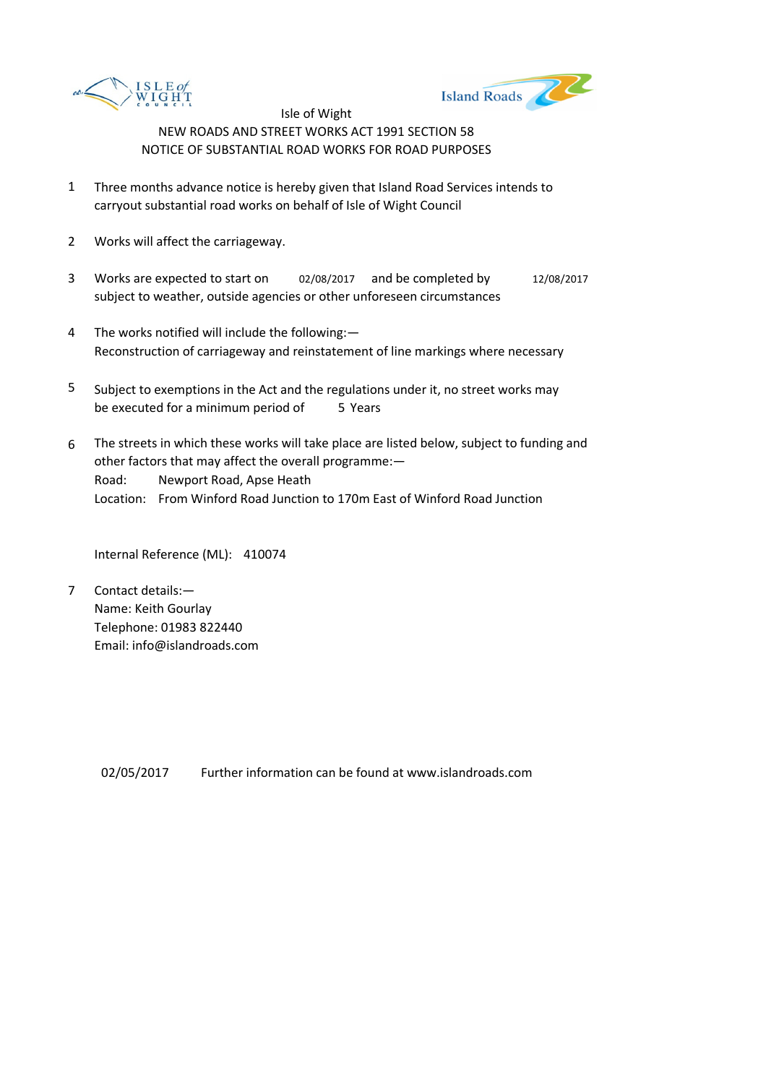



- 1 Three months advance notice is hereby given that Island Road Services intends to carryout substantial road works on behalf of Isle of Wight Council
- 2 Works will affect the carriageway.
- 3 Works are expected to start on 02/08/2017 and be completed by 12/08/2017 subject to weather, outside agencies or other unforeseen circumstances
- 4 The works notified will include the following:— Reconstruction of carriageway and reinstatement of line markings where necessary
- 5 be executed for a minimum period of 5 Years Subject to exemptions in the Act and the regulations under it, no street works may
- 6 Road: Newport Road, Apse Heath Location: From Winford Road Junction to 170m East of Winford Road Junction The streets in which these works will take place are listed below, subject to funding and other factors that may affect the overall programme:—

Internal Reference (ML): 410074

7 Contact details:— Name: Keith Gourlay Telephone: 01983 822440 Email: info@islandroads.com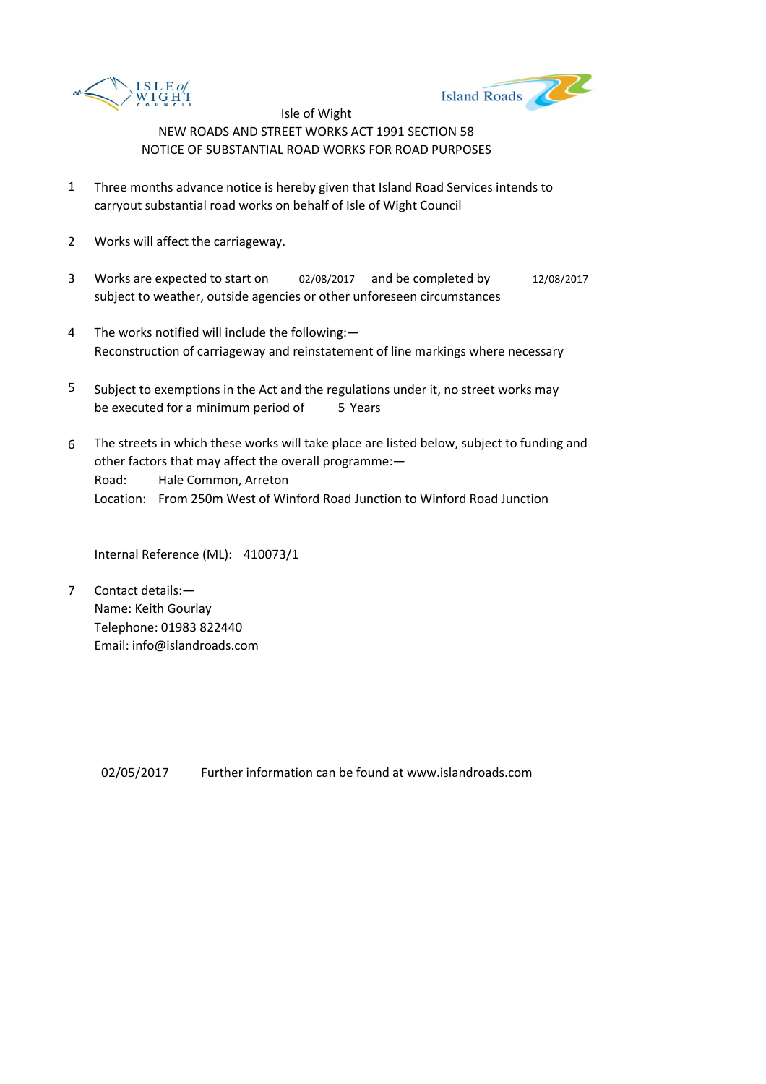



- 1 Three months advance notice is hereby given that Island Road Services intends to carryout substantial road works on behalf of Isle of Wight Council
- 2 Works will affect the carriageway.
- 3 Works are expected to start on 02/08/2017 and be completed by 12/08/2017 subject to weather, outside agencies or other unforeseen circumstances
- 4 The works notified will include the following:— Reconstruction of carriageway and reinstatement of line markings where necessary
- 5 be executed for a minimum period of 5 Years Subject to exemptions in the Act and the regulations under it, no street works may
- 6 Road: Hale Common, Arreton Location: From 250m West of Winford Road Junction to Winford Road Junction The streets in which these works will take place are listed below, subject to funding and other factors that may affect the overall programme:—

Internal Reference (ML): 410073/1

7 Contact details:— Name: Keith Gourlay Telephone: 01983 822440 Email: info@islandroads.com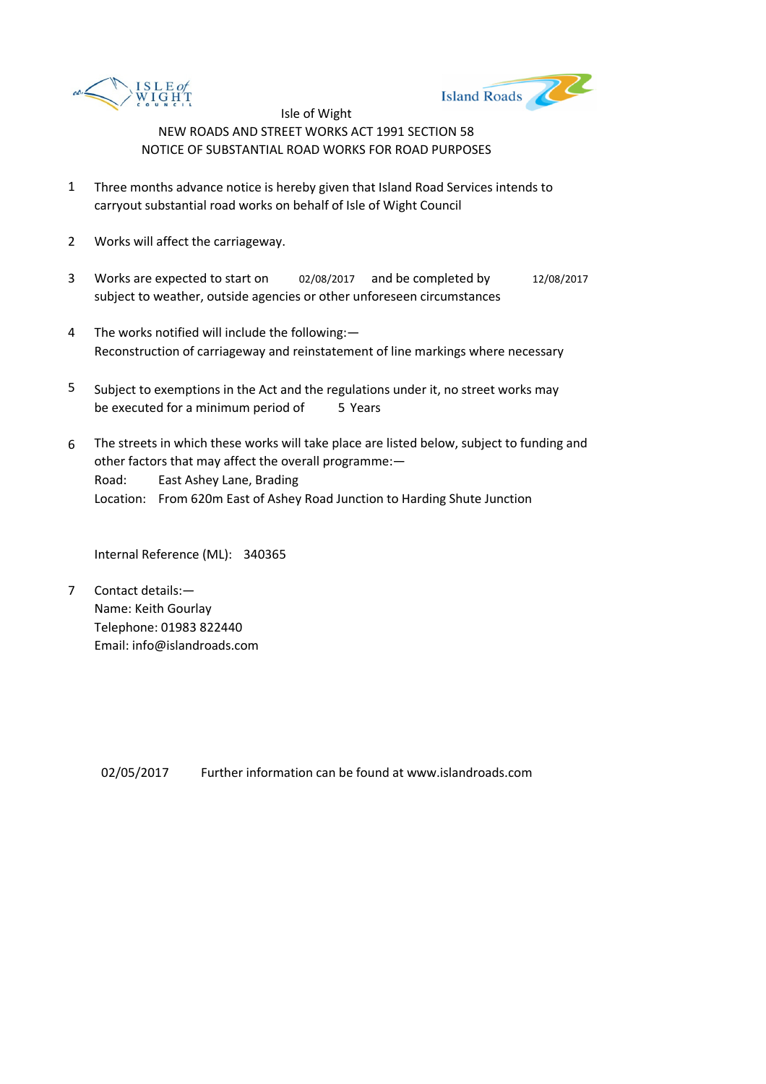



- 1 Three months advance notice is hereby given that Island Road Services intends to carryout substantial road works on behalf of Isle of Wight Council
- 2 Works will affect the carriageway.
- 3 Works are expected to start on 02/08/2017 and be completed by 12/08/2017 subject to weather, outside agencies or other unforeseen circumstances
- 4 The works notified will include the following:— Reconstruction of carriageway and reinstatement of line markings where necessary
- 5 be executed for a minimum period of 5 Years Subject to exemptions in the Act and the regulations under it, no street works may
- 6 Road: East Ashey Lane, Brading Location: From 620m East of Ashey Road Junction to Harding Shute Junction The streets in which these works will take place are listed below, subject to funding and other factors that may affect the overall programme:—

Internal Reference (ML): 340365

7 Contact details:— Name: Keith Gourlay Telephone: 01983 822440 Email: info@islandroads.com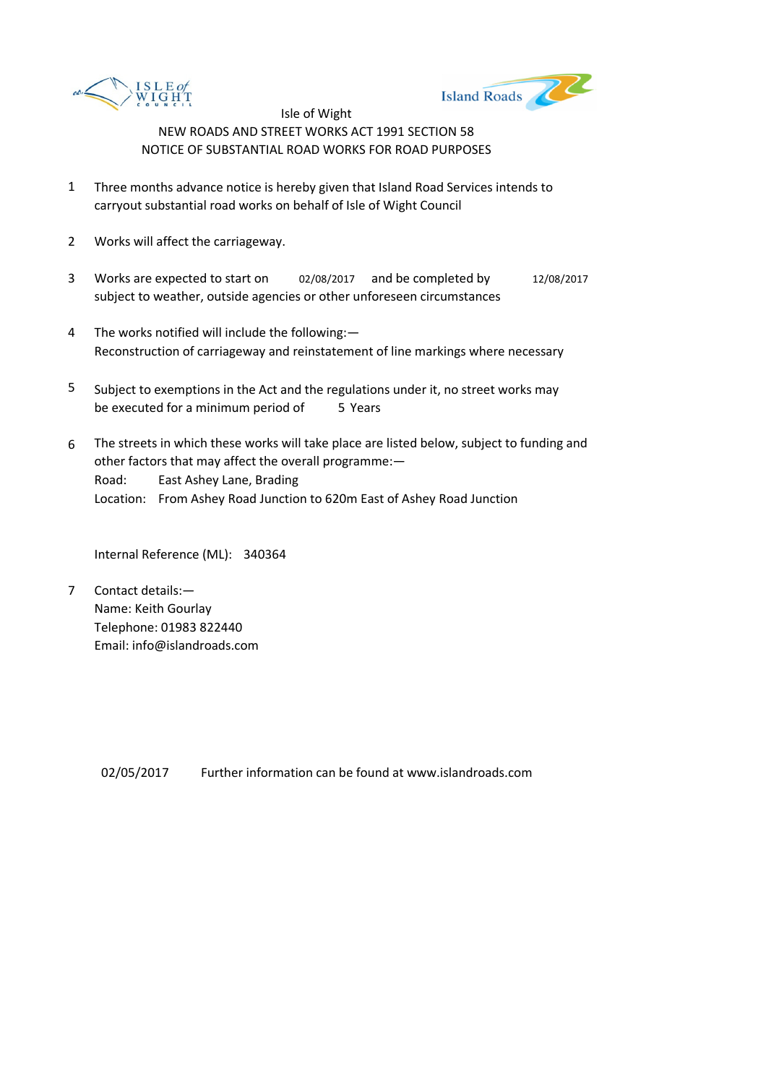



- 1 Three months advance notice is hereby given that Island Road Services intends to carryout substantial road works on behalf of Isle of Wight Council
- 2 Works will affect the carriageway.
- 3 Works are expected to start on 02/08/2017 and be completed by 12/08/2017 subject to weather, outside agencies or other unforeseen circumstances
- 4 The works notified will include the following:— Reconstruction of carriageway and reinstatement of line markings where necessary
- 5 be executed for a minimum period of 5 Years Subject to exemptions in the Act and the regulations under it, no street works may
- 6 Road: East Ashey Lane, Brading Location: From Ashey Road Junction to 620m East of Ashey Road Junction The streets in which these works will take place are listed below, subject to funding and other factors that may affect the overall programme:—

Internal Reference (ML): 340364

7 Contact details:— Name: Keith Gourlay Telephone: 01983 822440 Email: info@islandroads.com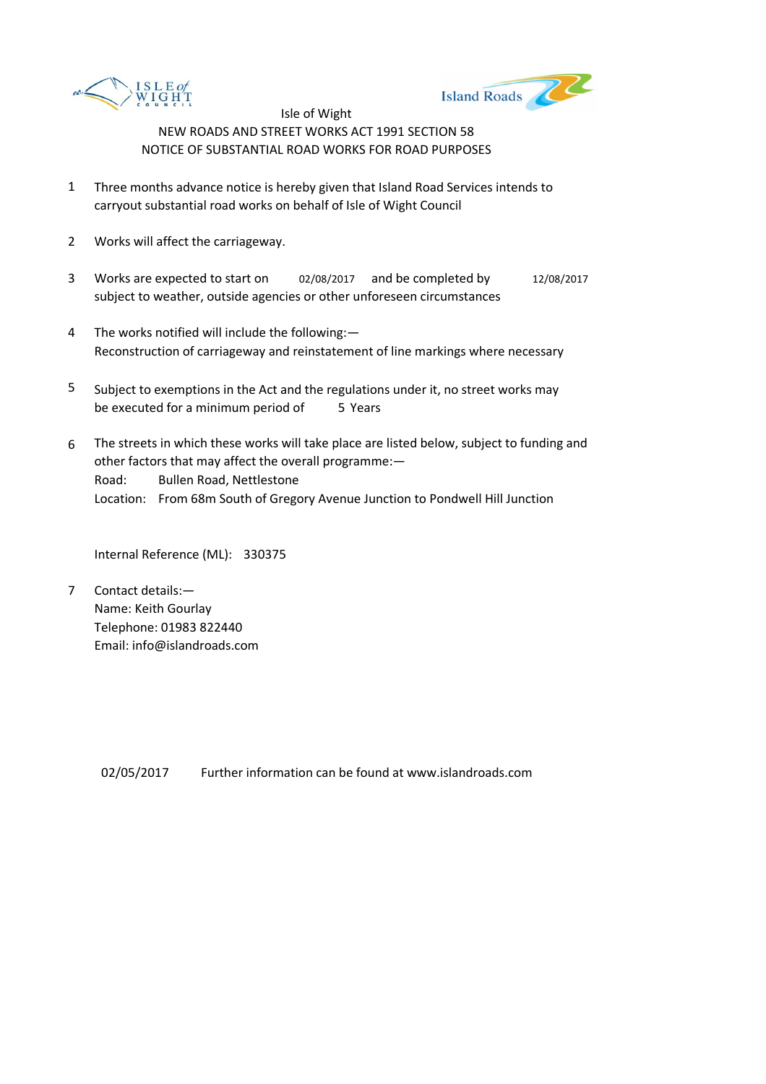



- 1 Three months advance notice is hereby given that Island Road Services intends to carryout substantial road works on behalf of Isle of Wight Council
- 2 Works will affect the carriageway.
- 3 Works are expected to start on 02/08/2017 and be completed by 12/08/2017 subject to weather, outside agencies or other unforeseen circumstances
- 4 The works notified will include the following:— Reconstruction of carriageway and reinstatement of line markings where necessary
- 5 be executed for a minimum period of 5 Years Subject to exemptions in the Act and the regulations under it, no street works may
- 6 Road: Bullen Road, Nettlestone Location: From 68m South of Gregory Avenue Junction to Pondwell Hill Junction The streets in which these works will take place are listed below, subject to funding and other factors that may affect the overall programme:—

Internal Reference (ML): 330375

7 Contact details:— Name: Keith Gourlay Telephone: 01983 822440 Email: info@islandroads.com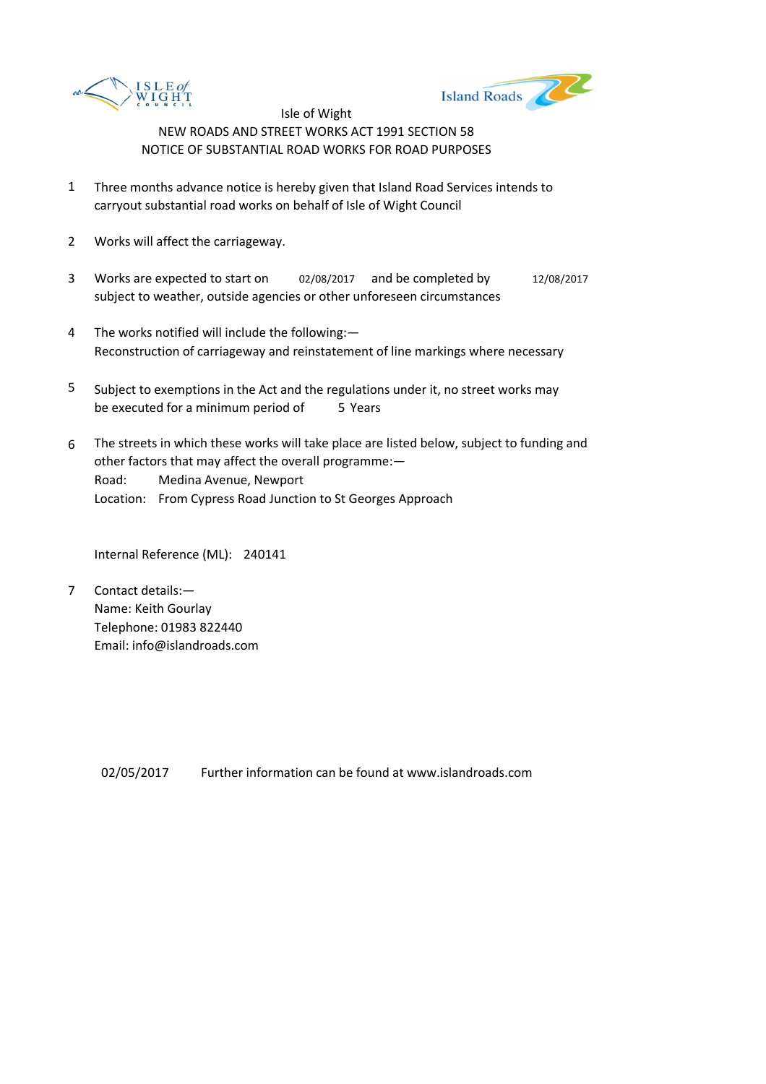



- 1 Three months advance notice is hereby given that Island Road Services intends to carryout substantial road works on behalf of Isle of Wight Council
- 2 Works will affect the carriageway.
- 3 Works are expected to start on 02/08/2017 and be completed by 12/08/2017 subject to weather, outside agencies or other unforeseen circumstances
- 4 The works notified will include the following:— Reconstruction of carriageway and reinstatement of line markings where necessary
- 5 be executed for a minimum period of 5 Years Subject to exemptions in the Act and the regulations under it, no street works may
- 6 Road: Medina Avenue, Newport Location: From Cypress Road Junction to St Georges Approach The streets in which these works will take place are listed below, subject to funding and other factors that may affect the overall programme:—

Internal Reference (ML): 240141

7 Contact details:— Name: Keith Gourlay Telephone: 01983 822440 Email: info@islandroads.com